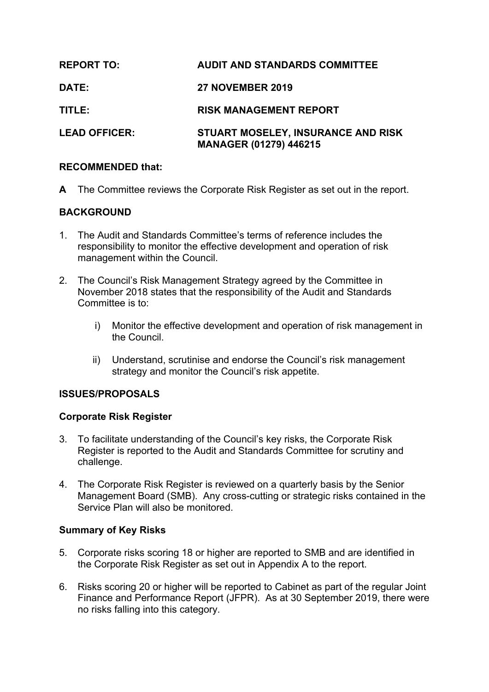| <b>REPORT TO:</b>    | <b>AUDIT AND STANDARDS COMMITTEE</b>                                |
|----------------------|---------------------------------------------------------------------|
| DATE:                | <b>27 NOVEMBER 2019</b>                                             |
| TITLE:               | <b>RISK MANAGEMENT REPORT</b>                                       |
| <b>LEAD OFFICER:</b> | STUART MOSELEY, INSURANCE AND RISK<br><b>MANAGER (01279) 446215</b> |

## **RECOMMENDED that:**

**A** The Committee reviews the Corporate Risk Register as set out in the report.

# **BACKGROUND**

- 1. The Audit and Standards Committee's terms of reference includes the responsibility to monitor the effective development and operation of risk management within the Council.
- 2. The Council's Risk Management Strategy agreed by the Committee in November 2018 states that the responsibility of the Audit and Standards Committee is to:
	- i) Monitor the effective development and operation of risk management in the Council.
	- ii) Understand, scrutinise and endorse the Council's risk management strategy and monitor the Council's risk appetite.

# **ISSUES/PROPOSALS**

### **Corporate Risk Register**

- 3. To facilitate understanding of the Council's key risks, the Corporate Risk Register is reported to the Audit and Standards Committee for scrutiny and challenge.
- 4. The Corporate Risk Register is reviewed on a quarterly basis by the Senior Management Board (SMB). Any cross-cutting or strategic risks contained in the Service Plan will also be monitored.

### **Summary of Key Risks**

- 5. Corporate risks scoring 18 or higher are reported to SMB and are identified in the Corporate Risk Register as set out in Appendix A to the report.
- 6. Risks scoring 20 or higher will be reported to Cabinet as part of the regular Joint Finance and Performance Report (JFPR). As at 30 September 2019, there were no risks falling into this category.